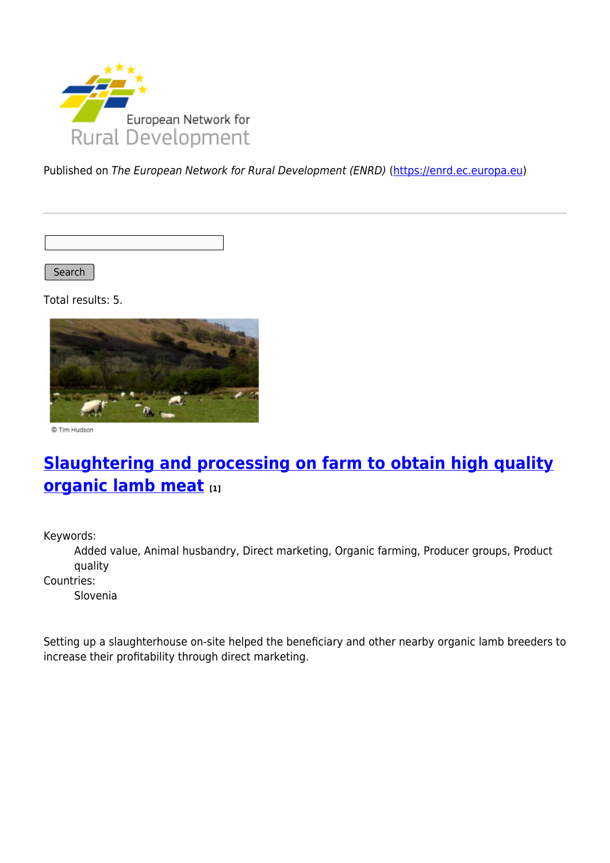

Published on The European Network for Rural Development (ENRD) [\(https://enrd.ec.europa.eu](https://enrd.ec.europa.eu))

Search

Total results: 5.



© Tim Hudson

## **[Slaughtering and processing on farm to obtain high quality](https://enrd.ec.europa.eu/projects-practice/slaughtering-and-processing-farm-obtain-high-quality-organic-lamb-meat_en) [organic lamb meat](https://enrd.ec.europa.eu/projects-practice/slaughtering-and-processing-farm-obtain-high-quality-organic-lamb-meat_en) [1]**

Keywords:

Added value, Animal husbandry, Direct marketing, Organic farming, Producer groups, Product quality

Countries:

Slovenia

Setting up a slaughterhouse on-site helped the beneficiary and other nearby organic lamb breeders to increase their profitability through direct marketing.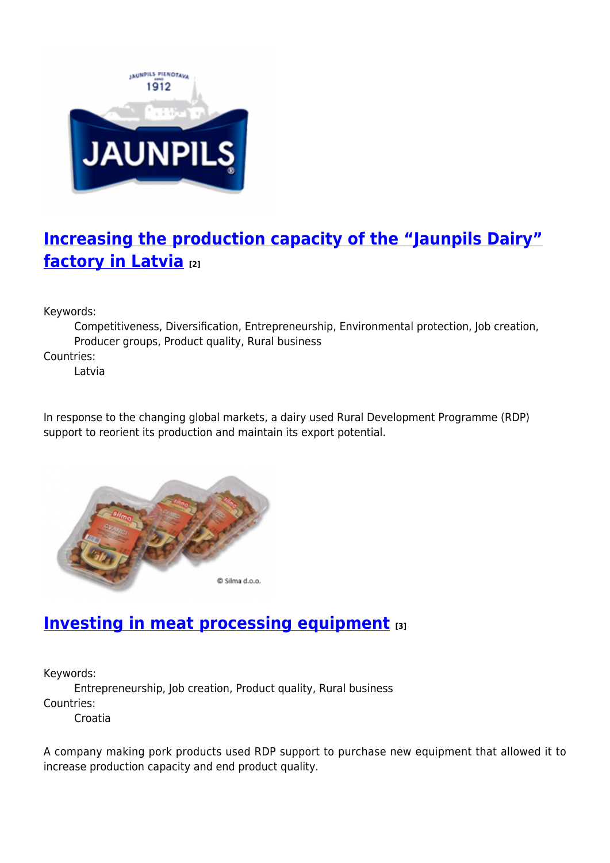

## **[Increasing the production capacity of the "Jaunpils Dairy"](https://enrd.ec.europa.eu/projects-practice/increasing-production-capacity-jaunpils-dairy-factory-latvia_en) [factory in Latvia](https://enrd.ec.europa.eu/projects-practice/increasing-production-capacity-jaunpils-dairy-factory-latvia_en) [2]**

Keywords:

Competitiveness, Diversification, Entrepreneurship, Environmental protection, Job creation, Producer groups, Product quality, Rural business

Countries:

Latvia

In response to the changing global markets, a dairy used Rural Development Programme (RDP) support to reorient its production and maintain its export potential.



## **[Investing in meat processing equipment](https://enrd.ec.europa.eu/projects-practice/investing-meat-processing-equipment_en) [3]**

Keywords:

Entrepreneurship, Job creation, Product quality, Rural business Countries:

Croatia

A company making pork products used RDP support to purchase new equipment that allowed it to increase production capacity and end product quality.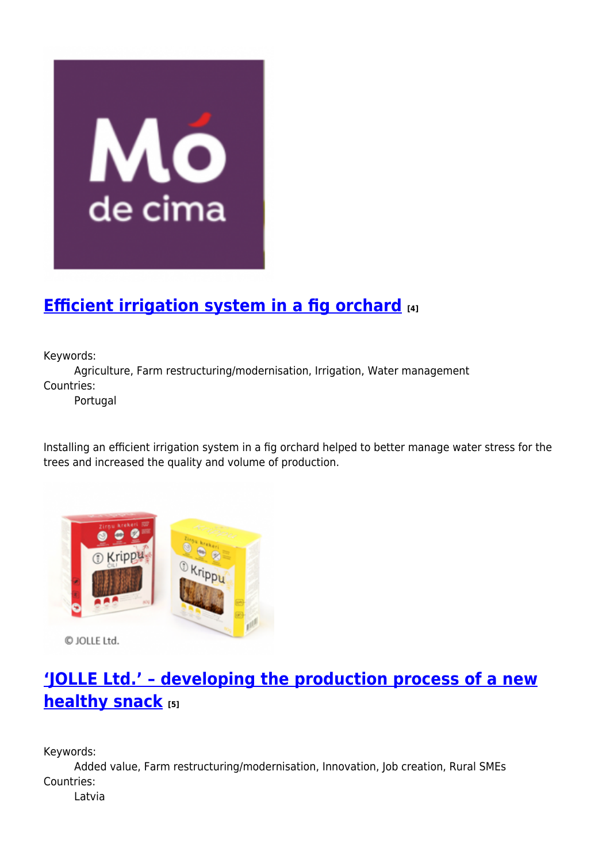

# **[Efficient irrigation system in a fig orchard](https://enrd.ec.europa.eu/projects-practice/efficient-irrigation-system-fig-orchard_en) [4]**

Keywords:

Agriculture, Farm restructuring/modernisation, Irrigation, Water management Countries:

Portugal

Installing an efficient irrigation system in a fig orchard helped to better manage water stress for the trees and increased the quality and volume of production.



© JOLLE Ltd.

## **['JOLLE Ltd.' – developing the production process of a new](https://enrd.ec.europa.eu/projects-practice/jolle-ltd-developing-production-process-new-healthy-snack_en) [healthy snack](https://enrd.ec.europa.eu/projects-practice/jolle-ltd-developing-production-process-new-healthy-snack_en)** [5]

Keywords:

Added value, Farm restructuring/modernisation, Innovation, Job creation, Rural SMEs Countries:

Latvia